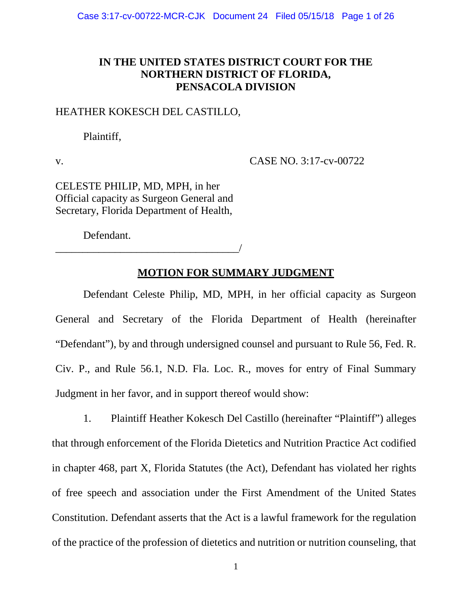## **IN THE UNITED STATES DISTRICT COURT FOR THE NORTHERN DISTRICT OF FLORIDA, PENSACOLA DIVISION**

### HEATHER KOKESCH DEL CASTILLO,

Plaintiff,

v. CASE NO. 3:17-cv-00722

CELESTE PHILIP, MD, MPH, in her Official capacity as Surgeon General and Secretary, Florida Department of Health,

Defendant.

\_\_\_\_\_\_\_\_\_\_\_\_\_\_\_\_\_\_\_\_\_\_\_\_\_\_\_\_\_\_\_\_\_\_/

## **MOTION FOR SUMMARY JUDGMENT**

Defendant Celeste Philip, MD, MPH, in her official capacity as Surgeon General and Secretary of the Florida Department of Health (hereinafter "Defendant"), by and through undersigned counsel and pursuant to Rule 56, Fed. R. Civ. P., and Rule 56.1, N.D. Fla. Loc. R., moves for entry of Final Summary Judgment in her favor, and in support thereof would show:

1. Plaintiff Heather Kokesch Del Castillo (hereinafter "Plaintiff") alleges that through enforcement of the Florida Dietetics and Nutrition Practice Act codified in chapter 468, part X, Florida Statutes (the Act), Defendant has violated her rights of free speech and association under the First Amendment of the United States Constitution. Defendant asserts that the Act is a lawful framework for the regulation of the practice of the profession of dietetics and nutrition or nutrition counseling, that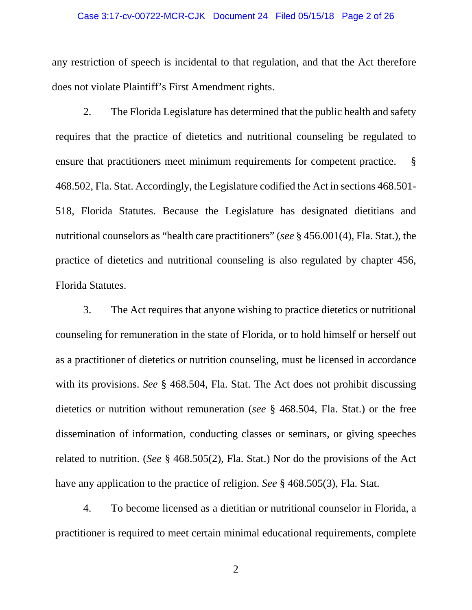#### Case 3:17-cv-00722-MCR-CJK Document 24 Filed 05/15/18 Page 2 of 26

any restriction of speech is incidental to that regulation, and that the Act therefore does not violate Plaintiff's First Amendment rights.

2. The Florida Legislature has determined that the public health and safety requires that the practice of dietetics and nutritional counseling be regulated to ensure that practitioners meet minimum requirements for competent practice. § 468.502, Fla. Stat. Accordingly, the Legislature codified the Act in sections 468.501- 518, Florida Statutes. Because the Legislature has designated dietitians and nutritional counselors as "health care practitioners" (*see* § 456.001(4), Fla. Stat.), the practice of dietetics and nutritional counseling is also regulated by chapter 456, Florida Statutes.

3. The Act requires that anyone wishing to practice dietetics or nutritional counseling for remuneration in the state of Florida, or to hold himself or herself out as a practitioner of dietetics or nutrition counseling, must be licensed in accordance with its provisions. *See* § 468.504, Fla. Stat. The Act does not prohibit discussing dietetics or nutrition without remuneration (*see* § 468.504, Fla. Stat.) or the free dissemination of information, conducting classes or seminars, or giving speeches related to nutrition. (*See* § 468.505(2), Fla. Stat.) Nor do the provisions of the Act have any application to the practice of religion. *See* § 468.505(3), Fla. Stat.

4. To become licensed as a dietitian or nutritional counselor in Florida, a practitioner is required to meet certain minimal educational requirements, complete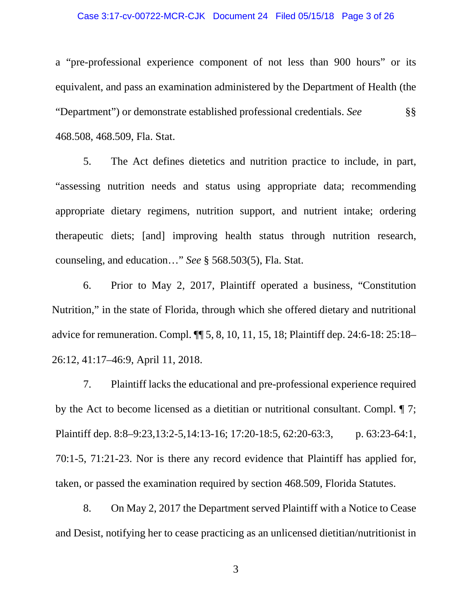#### Case 3:17-cv-00722-MCR-CJK Document 24 Filed 05/15/18 Page 3 of 26

a "pre-professional experience component of not less than 900 hours" or its equivalent, and pass an examination administered by the Department of Health (the "Department") or demonstrate established professional credentials. *See* §§ 468.508, 468.509, Fla. Stat.

5. The Act defines dietetics and nutrition practice to include, in part, "assessing nutrition needs and status using appropriate data; recommending appropriate dietary regimens, nutrition support, and nutrient intake; ordering therapeutic diets; [and] improving health status through nutrition research, counseling, and education…" *See* § 568.503(5), Fla. Stat.

6. Prior to May 2, 2017, Plaintiff operated a business, "Constitution Nutrition," in the state of Florida, through which she offered dietary and nutritional advice for remuneration. Compl. ¶¶ 5, 8, 10, 11, 15, 18; Plaintiff dep. 24:6-18: 25:18– 26:12, 41:17–46:9, April 11, 2018.

7. Plaintiff lacks the educational and pre-professional experience required by the Act to become licensed as a dietitian or nutritional consultant. Compl. ¶ 7; Plaintiff dep. 8:8–9:23,13:2-5,14:13-16; 17:20-18:5, 62:20-63:3, p. 63:23-64:1, 70:1-5, 71:21-23. Nor is there any record evidence that Plaintiff has applied for, taken, or passed the examination required by section 468.509, Florida Statutes.

8. On May 2, 2017 the Department served Plaintiff with a Notice to Cease and Desist, notifying her to cease practicing as an unlicensed dietitian/nutritionist in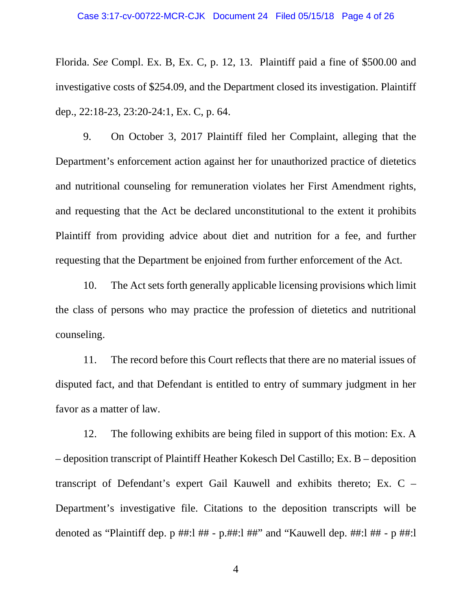Florida. *See* Compl. Ex. B, Ex. C, p. 12, 13. Plaintiff paid a fine of \$500.00 and investigative costs of \$254.09, and the Department closed its investigation. Plaintiff dep., 22:18-23, 23:20-24:1, Ex. C, p. 64.

9. On October 3, 2017 Plaintiff filed her Complaint, alleging that the Department's enforcement action against her for unauthorized practice of dietetics and nutritional counseling for remuneration violates her First Amendment rights, and requesting that the Act be declared unconstitutional to the extent it prohibits Plaintiff from providing advice about diet and nutrition for a fee, and further requesting that the Department be enjoined from further enforcement of the Act.

10. The Act sets forth generally applicable licensing provisions which limit the class of persons who may practice the profession of dietetics and nutritional counseling.

11. The record before this Court reflects that there are no material issues of disputed fact, and that Defendant is entitled to entry of summary judgment in her favor as a matter of law.

12. The following exhibits are being filed in support of this motion: Ex. A – deposition transcript of Plaintiff Heather Kokesch Del Castillo; Ex. B – deposition transcript of Defendant's expert Gail Kauwell and exhibits thereto; Ex. C – Department's investigative file. Citations to the deposition transcripts will be denoted as "Plaintiff dep. p ##:l ## - p.##:l ##" and "Kauwell dep. ##:l ## - p ##:l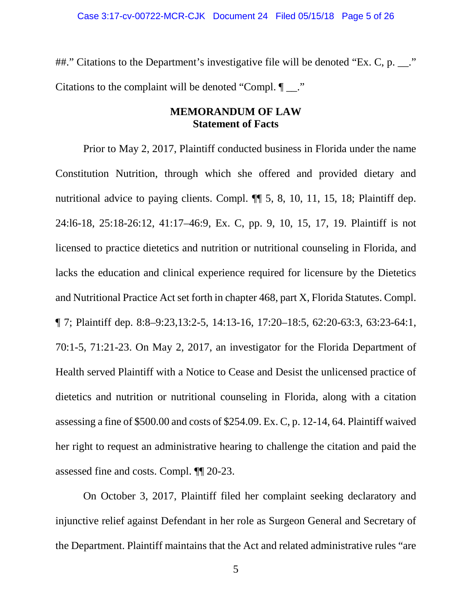##." Citations to the Department's investigative file will be denoted "Ex. C, p. \_\_." Citations to the complaint will be denoted "Compl.  $\P$ ...."

### **MEMORANDUM OF LAW Statement of Facts**

Prior to May 2, 2017, Plaintiff conducted business in Florida under the name Constitution Nutrition, through which she offered and provided dietary and nutritional advice to paying clients. Compl. ¶¶ 5, 8, 10, 11, 15, 18; Plaintiff dep. 24:l6-18, 25:18-26:12, 41:17–46:9, Ex. C, pp. 9, 10, 15, 17, 19. Plaintiff is not licensed to practice dietetics and nutrition or nutritional counseling in Florida, and lacks the education and clinical experience required for licensure by the Dietetics and Nutritional Practice Act set forth in chapter 468, part X, Florida Statutes. Compl. ¶ 7; Plaintiff dep. 8:8–9:23,13:2-5, 14:13-16, 17:20–18:5, 62:20-63:3, 63:23-64:1, 70:1-5, 71:21-23. On May 2, 2017, an investigator for the Florida Department of Health served Plaintiff with a Notice to Cease and Desist the unlicensed practice of dietetics and nutrition or nutritional counseling in Florida, along with a citation assessing a fine of \$500.00 and costs of \$254.09. Ex. C, p. 12-14, 64. Plaintiff waived her right to request an administrative hearing to challenge the citation and paid the assessed fine and costs. Compl. ¶¶ 20-23.

On October 3, 2017, Plaintiff filed her complaint seeking declaratory and injunctive relief against Defendant in her role as Surgeon General and Secretary of the Department. Plaintiff maintains that the Act and related administrative rules "are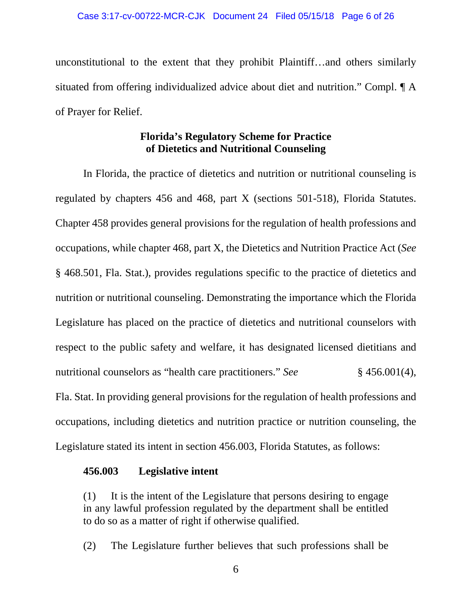unconstitutional to the extent that they prohibit Plaintiff…and others similarly situated from offering individualized advice about diet and nutrition." Compl. ¶ A of Prayer for Relief.

## **Florida's Regulatory Scheme for Practice of Dietetics and Nutritional Counseling**

In Florida, the practice of dietetics and nutrition or nutritional counseling is regulated by chapters 456 and 468, part X (sections 501-518), Florida Statutes. Chapter 458 provides general provisions for the regulation of health professions and occupations, while chapter 468, part X, the Dietetics and Nutrition Practice Act (*See* § 468.501, Fla. Stat.), provides regulations specific to the practice of dietetics and nutrition or nutritional counseling. Demonstrating the importance which the Florida Legislature has placed on the practice of dietetics and nutritional counselors with respect to the public safety and welfare, it has designated licensed dietitians and nutritional counselors as "health care practitioners." *See* § 456.001(4), Fla. Stat. In providing general provisions for the regulation of health professions and occupations, including dietetics and nutrition practice or nutrition counseling, the Legislature stated its intent in section 456.003, Florida Statutes, as follows:

### **456.003 Legislative intent**

(1) It is the intent of the Legislature that persons desiring to engage in any lawful profession regulated by the department shall be entitled to do so as a matter of right if otherwise qualified.

(2) The Legislature further believes that such professions shall be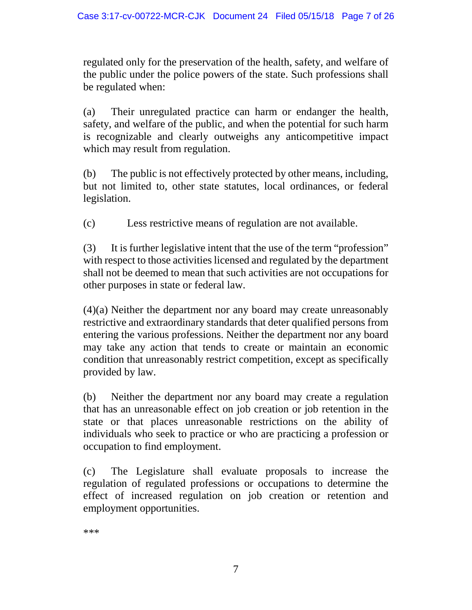regulated only for the preservation of the health, safety, and welfare of the public under the police powers of the state. Such professions shall be regulated when:

(a) Their unregulated practice can harm or endanger the health, safety, and welfare of the public, and when the potential for such harm is recognizable and clearly outweighs any anticompetitive impact which may result from regulation.

(b) The public is not effectively protected by other means, including, but not limited to, other state statutes, local ordinances, or federal legislation.

(c) Less restrictive means of regulation are not available.

(3) It is further legislative intent that the use of the term "profession" with respect to those activities licensed and regulated by the department shall not be deemed to mean that such activities are not occupations for other purposes in state or federal law.

(4)(a) Neither the department nor any board may create unreasonably restrictive and extraordinary standards that deter qualified persons from entering the various professions. Neither the department nor any board may take any action that tends to create or maintain an economic condition that unreasonably restrict competition, except as specifically provided by law.

(b) Neither the department nor any board may create a regulation that has an unreasonable effect on job creation or job retention in the state or that places unreasonable restrictions on the ability of individuals who seek to practice or who are practicing a profession or occupation to find employment.

(c) The Legislature shall evaluate proposals to increase the regulation of regulated professions or occupations to determine the effect of increased regulation on job creation or retention and employment opportunities.

\*\*\*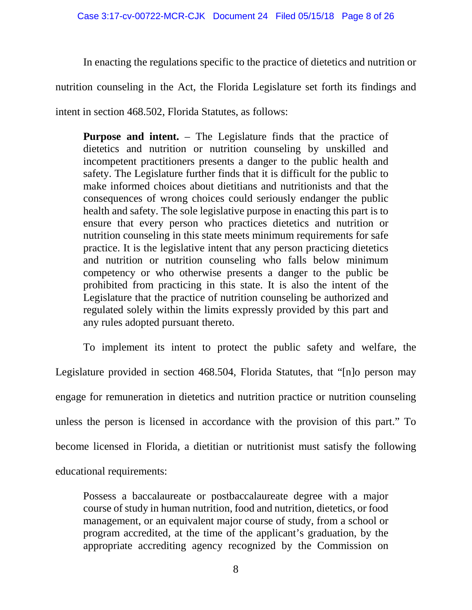In enacting the regulations specific to the practice of dietetics and nutrition or

nutrition counseling in the Act, the Florida Legislature set forth its findings and

intent in section 468.502, Florida Statutes, as follows:

**Purpose and intent.** – The Legislature finds that the practice of dietetics and nutrition or nutrition counseling by unskilled and incompetent practitioners presents a danger to the public health and safety. The Legislature further finds that it is difficult for the public to make informed choices about dietitians and nutritionists and that the consequences of wrong choices could seriously endanger the public health and safety. The sole legislative purpose in enacting this part is to ensure that every person who practices dietetics and nutrition or nutrition counseling in this state meets minimum requirements for safe practice. It is the legislative intent that any person practicing dietetics and nutrition or nutrition counseling who falls below minimum competency or who otherwise presents a danger to the public be prohibited from practicing in this state. It is also the intent of the Legislature that the practice of nutrition counseling be authorized and regulated solely within the limits expressly provided by this part and any rules adopted pursuant thereto.

To implement its intent to protect the public safety and welfare, the Legislature provided in section 468.504, Florida Statutes, that "[n]o person may engage for remuneration in dietetics and nutrition practice or nutrition counseling unless the person is licensed in accordance with the provision of this part." To become licensed in Florida, a dietitian or nutritionist must satisfy the following educational requirements:

Possess a baccalaureate or postbaccalaureate degree with a major course of study in human nutrition, food and nutrition, dietetics, or food management, or an equivalent major course of study, from a school or program accredited, at the time of the applicant's graduation, by the appropriate accrediting agency recognized by the Commission on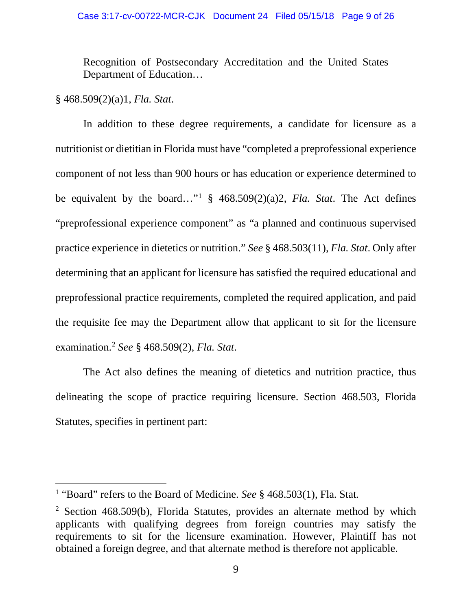#### Case 3:17-cv-00722-MCR-CJK Document 24 Filed 05/15/18 Page 9 of 26

Recognition of Postsecondary Accreditation and the United States Department of Education…

### § 468.509(2)(a)1, *Fla. Stat*.

In addition to these degree requirements, a candidate for licensure as a nutritionist or dietitian in Florida must have "completed a preprofessional experience component of not less than 900 hours or has education or experience determined to be equivalent by the board…["1](#page-8-0) § 468.509(2)(a)2, *Fla. Stat*. The Act defines "preprofessional experience component" as "a planned and continuous supervised practice experience in dietetics or nutrition." *See* § 468.503(11), *Fla. Stat*. Only after determining that an applicant for licensure has satisfied the required educational and preprofessional practice requirements, completed the required application, and paid the requisite fee may the Department allow that applicant to sit for the licensure examination.[2](#page-8-1) *See* § 468.509(2), *Fla. Stat*.

The Act also defines the meaning of dietetics and nutrition practice, thus delineating the scope of practice requiring licensure. Section 468.503, Florida Statutes, specifies in pertinent part:

<span id="page-8-0"></span> <sup>1</sup> "Board" refers to the Board of Medicine. *See* § 468.503(1), Fla. Stat*.*

<span id="page-8-1"></span><sup>2</sup> Section 468.509(b), Florida Statutes, provides an alternate method by which applicants with qualifying degrees from foreign countries may satisfy the requirements to sit for the licensure examination. However, Plaintiff has not obtained a foreign degree, and that alternate method is therefore not applicable.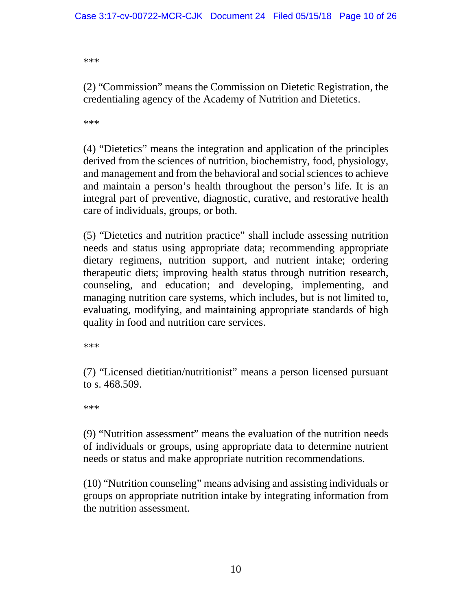\*\*\*

(2) "Commission" means the Commission on Dietetic Registration, the credentialing agency of the Academy of Nutrition and Dietetics.

\*\*\*

(4) "Dietetics" means the integration and application of the principles derived from the sciences of nutrition, biochemistry, food, physiology, and management and from the behavioral and social sciences to achieve and maintain a person's health throughout the person's life. It is an integral part of preventive, diagnostic, curative, and restorative health care of individuals, groups, or both.

(5) "Dietetics and nutrition practice" shall include assessing nutrition needs and status using appropriate data; recommending appropriate dietary regimens, nutrition support, and nutrient intake; ordering therapeutic diets; improving health status through nutrition research, counseling, and education; and developing, implementing, and managing nutrition care systems, which includes, but is not limited to, evaluating, modifying, and maintaining appropriate standards of high quality in food and nutrition care services.

\*\*\*

(7) "Licensed dietitian/nutritionist" means a person licensed pursuant to s. 468.509.

\*\*\*

(9) "Nutrition assessment" means the evaluation of the nutrition needs of individuals or groups, using appropriate data to determine nutrient needs or status and make appropriate nutrition recommendations.

(10) "Nutrition counseling" means advising and assisting individuals or groups on appropriate nutrition intake by integrating information from the nutrition assessment.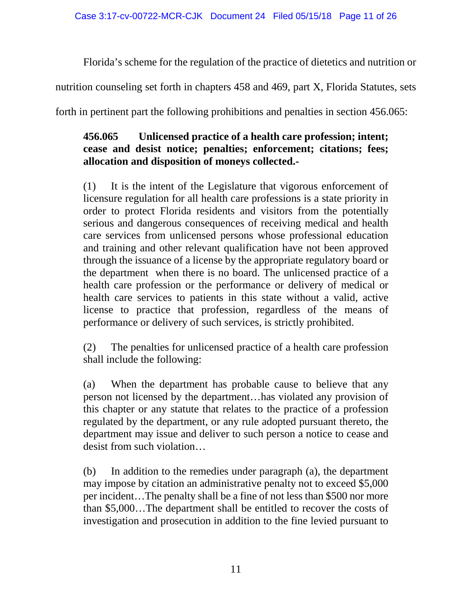Florida's scheme for the regulation of the practice of dietetics and nutrition or

nutrition counseling set forth in chapters 458 and 469, part X, Florida Statutes, sets

forth in pertinent part the following prohibitions and penalties in section 456.065:

# **456.065 Unlicensed practice of a health care profession; intent; cease and desist notice; penalties; enforcement; citations; fees; allocation and disposition of moneys collected.-**

(1) It is the intent of the Legislature that vigorous enforcement of licensure regulation for all health care professions is a state priority in order to protect Florida residents and visitors from the potentially serious and dangerous consequences of receiving medical and health care services from unlicensed persons whose professional education and training and other relevant qualification have not been approved through the issuance of a license by the appropriate regulatory board or the department when there is no board. The unlicensed practice of a health care profession or the performance or delivery of medical or health care services to patients in this state without a valid, active license to practice that profession, regardless of the means of performance or delivery of such services, is strictly prohibited.

(2) The penalties for unlicensed practice of a health care profession shall include the following:

(a) When the department has probable cause to believe that any person not licensed by the department…has violated any provision of this chapter or any statute that relates to the practice of a profession regulated by the department, or any rule adopted pursuant thereto, the department may issue and deliver to such person a notice to cease and desist from such violation…

(b) In addition to the remedies under paragraph (a), the department may impose by citation an administrative penalty not to exceed \$5,000 per incident…The penalty shall be a fine of not less than \$500 nor more than \$5,000…The department shall be entitled to recover the costs of investigation and prosecution in addition to the fine levied pursuant to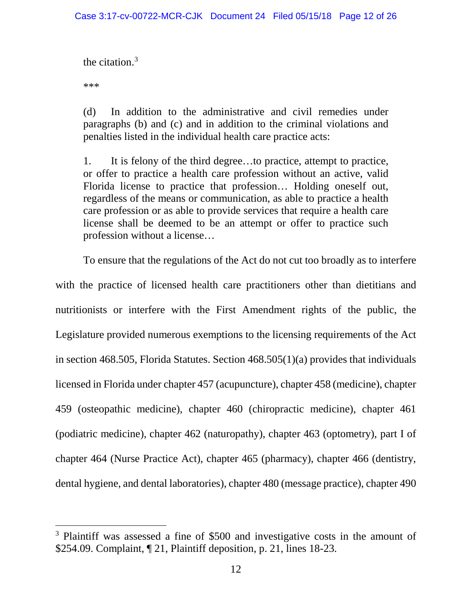the citation. $3$ 

\*\*\*

(d) In addition to the administrative and civil remedies under paragraphs (b) and (c) and in addition to the criminal violations and penalties listed in the individual health care practice acts:

1. It is felony of the third degree…to practice, attempt to practice, or offer to practice a health care profession without an active, valid Florida license to practice that profession… Holding oneself out, regardless of the means or communication, as able to practice a health care profession or as able to provide services that require a health care license shall be deemed to be an attempt or offer to practice such profession without a license…

To ensure that the regulations of the Act do not cut too broadly as to interfere with the practice of licensed health care practitioners other than dietitians and nutritionists or interfere with the First Amendment rights of the public, the Legislature provided numerous exemptions to the licensing requirements of the Act in section 468.505, Florida Statutes. Section 468.505(1)(a) provides that individuals licensed in Florida under chapter 457 (acupuncture), chapter 458 (medicine), chapter 459 (osteopathic medicine), chapter 460 (chiropractic medicine), chapter 461 (podiatric medicine), chapter 462 (naturopathy), chapter 463 (optometry), part I of chapter 464 (Nurse Practice Act), chapter 465 (pharmacy), chapter 466 (dentistry, dental hygiene, and dental laboratories), chapter 480 (message practice), chapter 490

<span id="page-11-0"></span><sup>&</sup>lt;sup>3</sup> Plaintiff was assessed a fine of \$500 and investigative costs in the amount of \$254.09. Complaint, ¶ 21, Plaintiff deposition, p. 21, lines 18-23.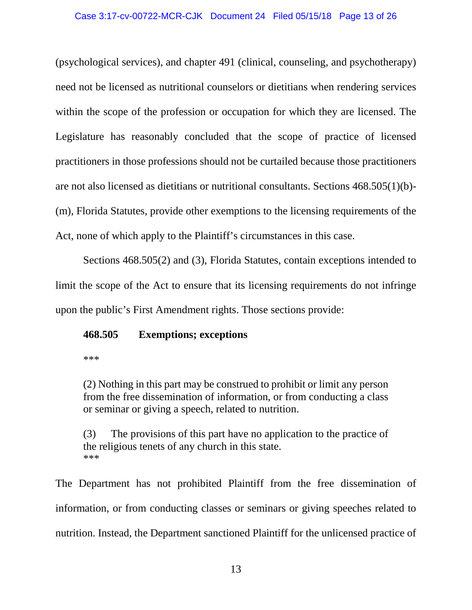(psychological services), and chapter 491 (clinical, counseling, and psychotherapy) need not be licensed as nutritional counselors or dietitians when rendering services within the scope of the profession or occupation for which they are licensed. The Legislature has reasonably concluded that the scope of practice of licensed practitioners in those professions should not be curtailed because those practitioners are not also licensed as dietitians or nutritional consultants. Sections 468.505(1)(b)- (m), Florida Statutes, provide other exemptions to the licensing requirements of the Act, none of which apply to the Plaintiff's circumstances in this case.

Sections 468.505(2) and (3), Florida Statutes, contain exceptions intended to limit the scope of the Act to ensure that its licensing requirements do not infringe upon the public's First Amendment rights. Those sections provide:

## **468.505 Exemptions; exceptions**

\*\*\*

(2) Nothing in this part may be construed to prohibit or limit any person from the free dissemination of information, or from conducting a class or seminar or giving a speech, related to nutrition.

(3) The provisions of this part have no application to the practice of the religious tenets of any church in this state. \*\*\*

The Department has not prohibited Plaintiff from the free dissemination of information, or from conducting classes or seminars or giving speeches related to nutrition. Instead, the Department sanctioned Plaintiff for the unlicensed practice of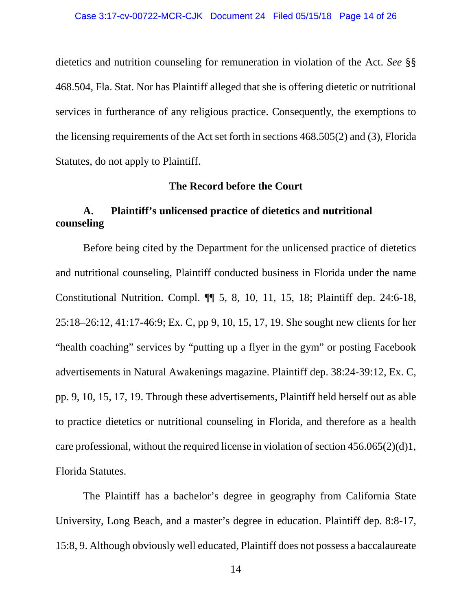dietetics and nutrition counseling for remuneration in violation of the Act. *See* §§ 468.504, Fla. Stat. Nor has Plaintiff alleged that she is offering dietetic or nutritional services in furtherance of any religious practice. Consequently, the exemptions to the licensing requirements of the Act set forth in sections 468.505(2) and (3), Florida Statutes, do not apply to Plaintiff.

#### **The Record before the Court**

# **A. Plaintiff's unlicensed practice of dietetics and nutritional counseling**

Before being cited by the Department for the unlicensed practice of dietetics and nutritional counseling, Plaintiff conducted business in Florida under the name Constitutional Nutrition. Compl. ¶¶ 5, 8, 10, 11, 15, 18; Plaintiff dep. 24:6-18, 25:18–26:12, 41:17-46:9; Ex. C, pp 9, 10, 15, 17, 19. She sought new clients for her "health coaching" services by "putting up a flyer in the gym" or posting Facebook advertisements in Natural Awakenings magazine. Plaintiff dep. 38:24-39:12, Ex. C, pp. 9, 10, 15, 17, 19. Through these advertisements, Plaintiff held herself out as able to practice dietetics or nutritional counseling in Florida, and therefore as a health care professional, without the required license in violation of section 456.065(2)(d)1, Florida Statutes.

The Plaintiff has a bachelor's degree in geography from California State University, Long Beach, and a master's degree in education. Plaintiff dep. 8:8-17, 15:8, 9. Although obviously well educated, Plaintiff does not possess a baccalaureate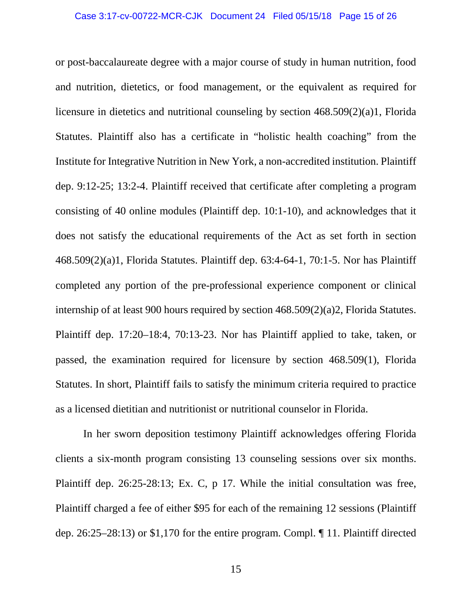or post-baccalaureate degree with a major course of study in human nutrition, food and nutrition, dietetics, or food management, or the equivalent as required for licensure in dietetics and nutritional counseling by section 468.509(2)(a)1, Florida Statutes. Plaintiff also has a certificate in "holistic health coaching" from the Institute for Integrative Nutrition in New York, a non-accredited institution. Plaintiff dep. 9:12-25; 13:2-4. Plaintiff received that certificate after completing a program consisting of 40 online modules (Plaintiff dep. 10:1-10), and acknowledges that it does not satisfy the educational requirements of the Act as set forth in section 468.509(2)(a)1, Florida Statutes. Plaintiff dep. 63:4-64-1, 70:1-5. Nor has Plaintiff completed any portion of the pre-professional experience component or clinical internship of at least 900 hours required by section 468.509(2)(a)2, Florida Statutes. Plaintiff dep. 17:20–18:4, 70:13-23. Nor has Plaintiff applied to take, taken, or passed, the examination required for licensure by section 468.509(1), Florida Statutes. In short, Plaintiff fails to satisfy the minimum criteria required to practice as a licensed dietitian and nutritionist or nutritional counselor in Florida.

In her sworn deposition testimony Plaintiff acknowledges offering Florida clients a six-month program consisting 13 counseling sessions over six months. Plaintiff dep. 26:25-28:13; Ex. C, p 17. While the initial consultation was free, Plaintiff charged a fee of either \$95 for each of the remaining 12 sessions (Plaintiff dep. 26:25–28:13) or \$1,170 for the entire program. Compl. ¶ 11. Plaintiff directed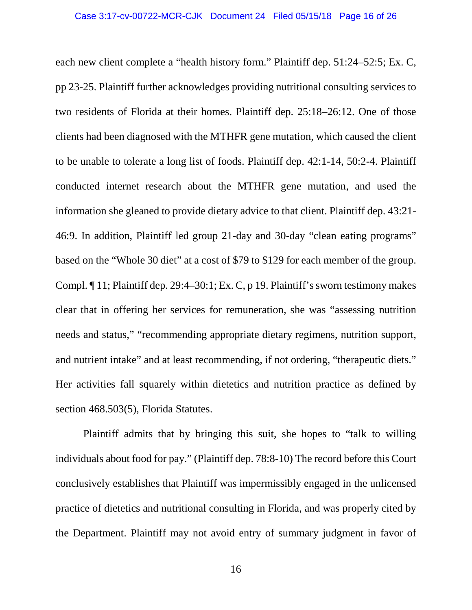each new client complete a "health history form." Plaintiff dep. 51:24–52:5; Ex. C, pp 23-25. Plaintiff further acknowledges providing nutritional consulting services to two residents of Florida at their homes. Plaintiff dep. 25:18–26:12. One of those clients had been diagnosed with the MTHFR gene mutation, which caused the client to be unable to tolerate a long list of foods. Plaintiff dep. 42:1-14, 50:2-4. Plaintiff conducted internet research about the MTHFR gene mutation, and used the information she gleaned to provide dietary advice to that client. Plaintiff dep. 43:21- 46:9. In addition, Plaintiff led group 21-day and 30-day "clean eating programs" based on the "Whole 30 diet" at a cost of \$79 to \$129 for each member of the group. Compl. ¶ 11; Plaintiff dep. 29:4–30:1; Ex. C, p 19. Plaintiff's sworn testimony makes clear that in offering her services for remuneration, she was "assessing nutrition needs and status," "recommending appropriate dietary regimens, nutrition support, and nutrient intake" and at least recommending, if not ordering, "therapeutic diets." Her activities fall squarely within dietetics and nutrition practice as defined by section 468.503(5), Florida Statutes.

Plaintiff admits that by bringing this suit, she hopes to "talk to willing individuals about food for pay." (Plaintiff dep. 78:8-10) The record before this Court conclusively establishes that Plaintiff was impermissibly engaged in the unlicensed practice of dietetics and nutritional consulting in Florida, and was properly cited by the Department. Plaintiff may not avoid entry of summary judgment in favor of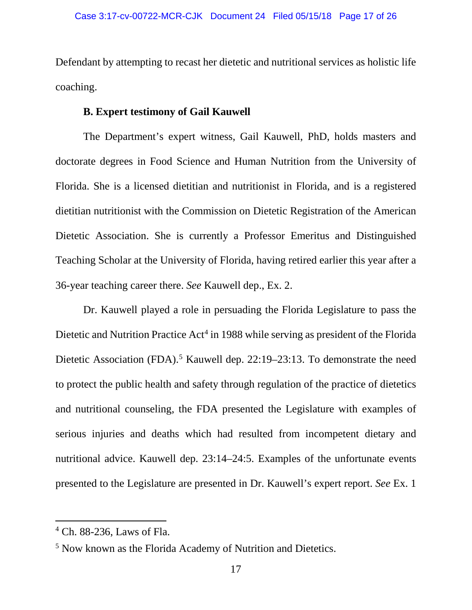Defendant by attempting to recast her dietetic and nutritional services as holistic life coaching.

### **B. Expert testimony of Gail Kauwell**

The Department's expert witness, Gail Kauwell, PhD, holds masters and doctorate degrees in Food Science and Human Nutrition from the University of Florida. She is a licensed dietitian and nutritionist in Florida, and is a registered dietitian nutritionist with the Commission on Dietetic Registration of the American Dietetic Association. She is currently a Professor Emeritus and Distinguished Teaching Scholar at the University of Florida, having retired earlier this year after a 36-year teaching career there. *See* Kauwell dep., Ex. 2.

Dr. Kauwell played a role in persuading the Florida Legislature to pass the Dietetic and Nutrition Practice Act<sup>[4](#page-16-0)</sup> in 1988 while serving as president of the Florida Dietetic Association (FDA).<sup>[5](#page-16-1)</sup> Kauwell dep. 22:19–23:13. To demonstrate the need to protect the public health and safety through regulation of the practice of dietetics and nutritional counseling, the FDA presented the Legislature with examples of serious injuries and deaths which had resulted from incompetent dietary and nutritional advice. Kauwell dep. 23:14–24:5. Examples of the unfortunate events presented to the Legislature are presented in Dr. Kauwell's expert report. *See* Ex. 1

<span id="page-16-0"></span> <sup>4</sup> Ch. 88-236, Laws of Fla.

<span id="page-16-1"></span><sup>5</sup> Now known as the Florida Academy of Nutrition and Dietetics.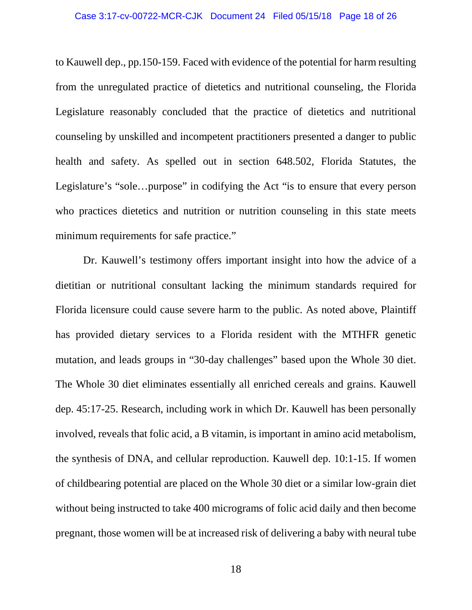to Kauwell dep., pp.150-159. Faced with evidence of the potential for harm resulting from the unregulated practice of dietetics and nutritional counseling, the Florida Legislature reasonably concluded that the practice of dietetics and nutritional counseling by unskilled and incompetent practitioners presented a danger to public health and safety. As spelled out in section 648.502, Florida Statutes, the Legislature's "sole...purpose" in codifying the Act "is to ensure that every person who practices dietetics and nutrition or nutrition counseling in this state meets minimum requirements for safe practice."

Dr. Kauwell's testimony offers important insight into how the advice of a dietitian or nutritional consultant lacking the minimum standards required for Florida licensure could cause severe harm to the public. As noted above, Plaintiff has provided dietary services to a Florida resident with the MTHFR genetic mutation, and leads groups in "30-day challenges" based upon the Whole 30 diet. The Whole 30 diet eliminates essentially all enriched cereals and grains. Kauwell dep. 45:17-25. Research, including work in which Dr. Kauwell has been personally involved, reveals that folic acid, a B vitamin, is important in amino acid metabolism, the synthesis of DNA, and cellular reproduction. Kauwell dep. 10:1-15. If women of childbearing potential are placed on the Whole 30 diet or a similar low-grain diet without being instructed to take 400 micrograms of folic acid daily and then become pregnant, those women will be at increased risk of delivering a baby with neural tube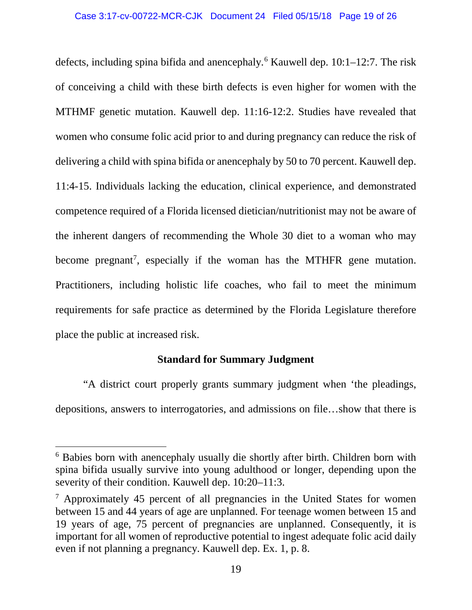defects, including spina bifida and anencephaly.<sup>[6](#page-18-0)</sup> Kauwell dep.  $10:1-12:7$ . The risk of conceiving a child with these birth defects is even higher for women with the MTHMF genetic mutation. Kauwell dep. 11:16-12:2. Studies have revealed that women who consume folic acid prior to and during pregnancy can reduce the risk of delivering a child with spina bifida or anencephaly by 50 to 70 percent. Kauwell dep. 11:4-15. Individuals lacking the education, clinical experience, and demonstrated competence required of a Florida licensed dietician/nutritionist may not be aware of the inherent dangers of recommending the Whole 30 diet to a woman who may become pregnant<sup>[7](#page-18-1)</sup>, especially if the woman has the MTHFR gene mutation. Practitioners, including holistic life coaches, who fail to meet the minimum requirements for safe practice as determined by the Florida Legislature therefore place the public at increased risk.

### **Standard for Summary Judgment**

"A district court properly grants summary judgment when 'the pleadings, depositions, answers to interrogatories, and admissions on file…show that there is

<span id="page-18-0"></span> <sup>6</sup> Babies born with anencephaly usually die shortly after birth. Children born with spina bifida usually survive into young adulthood or longer, depending upon the severity of their condition. Kauwell dep. 10:20–11:3.

<span id="page-18-1"></span><sup>7</sup> Approximately 45 percent of all pregnancies in the United States for women between 15 and 44 years of age are unplanned. For teenage women between 15 and 19 years of age, 75 percent of pregnancies are unplanned. Consequently, it is important for all women of reproductive potential to ingest adequate folic acid daily even if not planning a pregnancy. Kauwell dep. Ex. 1, p. 8.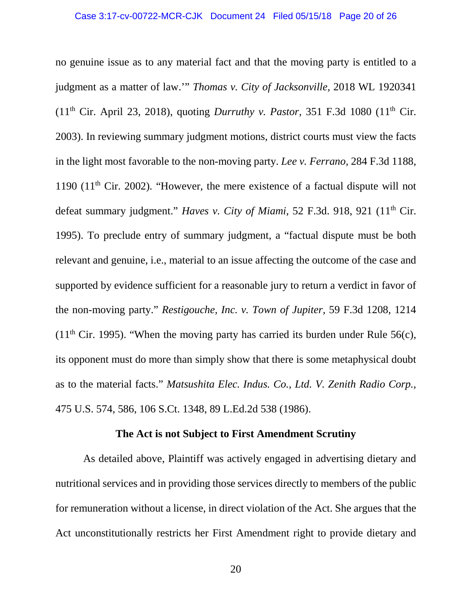no genuine issue as to any material fact and that the moving party is entitled to a judgment as a matter of law.'" *Thomas v. City of Jacksonville,* 2018 WL 1920341 (11th Cir. April 23, 2018), quoting *Durruthy v. Pastor,* 351 F.3d 1080 (11th Cir. 2003). In reviewing summary judgment motions, district courts must view the facts in the light most favorable to the non-moving party. *Lee v. Ferrano,* 284 F.3d 1188, 1190 (11<sup>th</sup> Cir. 2002). "However, the mere existence of a factual dispute will not defeat summary judgment." *Haves v. City of Miami*, 52 F.3d. 918, 921 (11<sup>th</sup> Cir. 1995). To preclude entry of summary judgment, a "factual dispute must be both relevant and genuine, i.e., material to an issue affecting the outcome of the case and supported by evidence sufficient for a reasonable jury to return a verdict in favor of the non-moving party." *Restigouche, Inc. v. Town of Jupiter,* 59 F.3d 1208, 1214  $(11<sup>th</sup> Cir. 1995)$ . "When the moving party has carried its burden under Rule 56(c), its opponent must do more than simply show that there is some metaphysical doubt as to the material facts." *Matsushita Elec. Indus. Co., Ltd. V. Zenith Radio Corp.,*  475 U.S. 574, 586, 106 S.Ct. 1348, 89 L.Ed.2d 538 (1986).

#### **The Act is not Subject to First Amendment Scrutiny**

As detailed above, Plaintiff was actively engaged in advertising dietary and nutritional services and in providing those services directly to members of the public for remuneration without a license, in direct violation of the Act. She argues that the Act unconstitutionally restricts her First Amendment right to provide dietary and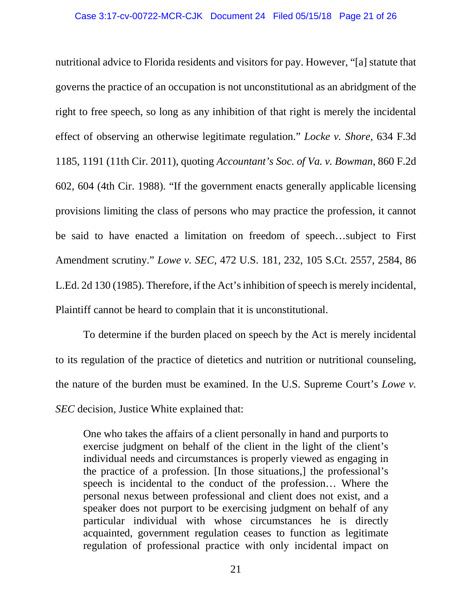nutritional advice to Florida residents and visitors for pay. However, "[a] statute that governs the practice of an occupation is not unconstitutional as an abridgment of the right to free speech, so long as any inhibition of that right is merely the incidental effect of observing an otherwise legitimate regulation." *Locke v. Shore*, 634 F.3d 1185, 1191 (11th Cir. 2011), quoting *Accountant's Soc. of Va. v. Bowman*, 860 F.2d 602, 604 (4th Cir. 1988). "If the government enacts generally applicable licensing provisions limiting the class of persons who may practice the profession, it cannot be said to have enacted a limitation on freedom of speech…subject to First Amendment scrutiny." *Lowe v. SEC,* 472 U.S. 181, 232, 105 S.Ct. 2557, 2584, 86 L.Ed. 2d 130 (1985). Therefore, if the Act's inhibition of speech is merely incidental, Plaintiff cannot be heard to complain that it is unconstitutional.

To determine if the burden placed on speech by the Act is merely incidental to its regulation of the practice of dietetics and nutrition or nutritional counseling, the nature of the burden must be examined. In the U.S. Supreme Court's *Lowe v. SEC* decision, Justice White explained that:

One who takes the affairs of a client personally in hand and purports to exercise judgment on behalf of the client in the light of the client's individual needs and circumstances is properly viewed as engaging in the practice of a profession. [In those situations,] the professional's speech is incidental to the conduct of the profession… Where the personal nexus between professional and client does not exist, and a speaker does not purport to be exercising judgment on behalf of any particular individual with whose circumstances he is directly acquainted, government regulation ceases to function as legitimate regulation of professional practice with only incidental impact on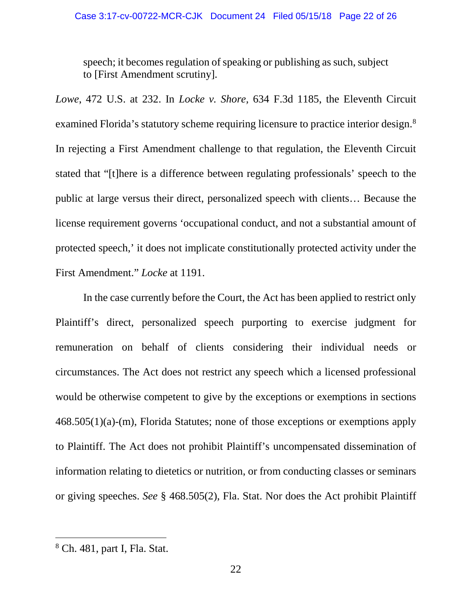speech; it becomes regulation of speaking or publishing as such, subject to [First Amendment scrutiny].

*Lowe*, 472 U.S. at 232. In *Locke v. Shore,* 634 F.3d 1185, the Eleventh Circuit examined Florida's statutory scheme requiring licensure to practice interior design[.8](#page-21-0) In rejecting a First Amendment challenge to that regulation, the Eleventh Circuit stated that "[t]here is a difference between regulating professionals' speech to the public at large versus their direct, personalized speech with clients… Because the license requirement governs 'occupational conduct, and not a substantial amount of protected speech,' it does not implicate constitutionally protected activity under the First Amendment." *Locke* at 1191.

In the case currently before the Court, the Act has been applied to restrict only Plaintiff's direct, personalized speech purporting to exercise judgment for remuneration on behalf of clients considering their individual needs or circumstances. The Act does not restrict any speech which a licensed professional would be otherwise competent to give by the exceptions or exemptions in sections 468.505(1)(a)-(m), Florida Statutes; none of those exceptions or exemptions apply to Plaintiff. The Act does not prohibit Plaintiff's uncompensated dissemination of information relating to dietetics or nutrition, or from conducting classes or seminars or giving speeches. *See* § 468.505(2), Fla. Stat. Nor does the Act prohibit Plaintiff

<span id="page-21-0"></span> <sup>8</sup> Ch. 481, part I, Fla. Stat.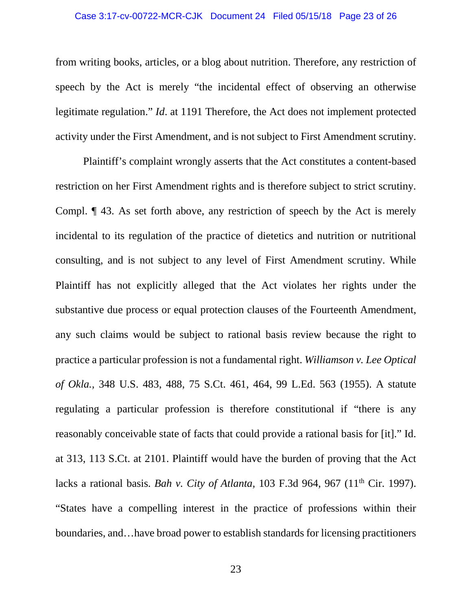#### Case 3:17-cv-00722-MCR-CJK Document 24 Filed 05/15/18 Page 23 of 26

from writing books, articles, or a blog about nutrition. Therefore, any restriction of speech by the Act is merely "the incidental effect of observing an otherwise legitimate regulation." *Id*. at 1191 Therefore, the Act does not implement protected activity under the First Amendment, and is not subject to First Amendment scrutiny.

Plaintiff's complaint wrongly asserts that the Act constitutes a content-based restriction on her First Amendment rights and is therefore subject to strict scrutiny. Compl. ¶ 43. As set forth above, any restriction of speech by the Act is merely incidental to its regulation of the practice of dietetics and nutrition or nutritional consulting, and is not subject to any level of First Amendment scrutiny. While Plaintiff has not explicitly alleged that the Act violates her rights under the substantive due process or equal protection clauses of the Fourteenth Amendment, any such claims would be subject to rational basis review because the right to practice a particular profession is not a fundamental right. *Williamson v. Lee Optical of Okla.,* 348 U.S. 483, 488, 75 S.Ct. 461, 464, 99 L.Ed. 563 (1955). A statute regulating a particular profession is therefore constitutional if "there is any reasonably conceivable state of facts that could provide a rational basis for [it]." Id. at 313, 113 S.Ct. at 2101. Plaintiff would have the burden of proving that the Act lacks a rational basis. *Bah v. City of Atlanta,* 103 F.3d 964, 967 (11th Cir. 1997). "States have a compelling interest in the practice of professions within their boundaries, and…have broad power to establish standards for licensing practitioners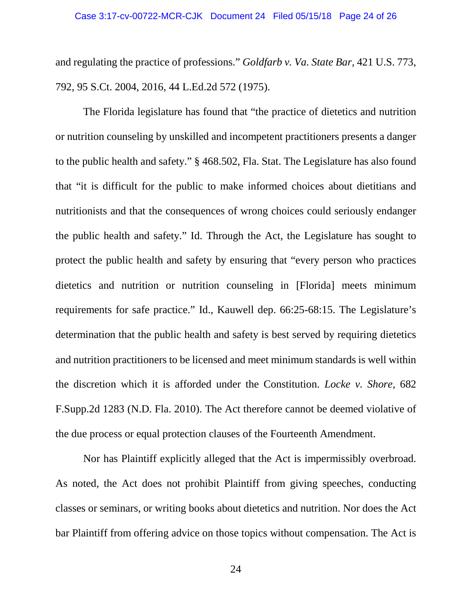and regulating the practice of professions." *Goldfarb v. Va. State Bar,* 421 U.S. 773, 792, 95 S.Ct. 2004, 2016, 44 L.Ed.2d 572 (1975).

The Florida legislature has found that "the practice of dietetics and nutrition or nutrition counseling by unskilled and incompetent practitioners presents a danger to the public health and safety." § 468.502, Fla. Stat. The Legislature has also found that "it is difficult for the public to make informed choices about dietitians and nutritionists and that the consequences of wrong choices could seriously endanger the public health and safety." Id. Through the Act, the Legislature has sought to protect the public health and safety by ensuring that "every person who practices dietetics and nutrition or nutrition counseling in [Florida] meets minimum requirements for safe practice." Id., Kauwell dep. 66:25-68:15. The Legislature's determination that the public health and safety is best served by requiring dietetics and nutrition practitioners to be licensed and meet minimum standards is well within the discretion which it is afforded under the Constitution. *Locke v. Shore,* 682 F.Supp.2d 1283 (N.D. Fla. 2010). The Act therefore cannot be deemed violative of the due process or equal protection clauses of the Fourteenth Amendment.

Nor has Plaintiff explicitly alleged that the Act is impermissibly overbroad. As noted, the Act does not prohibit Plaintiff from giving speeches, conducting classes or seminars, or writing books about dietetics and nutrition. Nor does the Act bar Plaintiff from offering advice on those topics without compensation. The Act is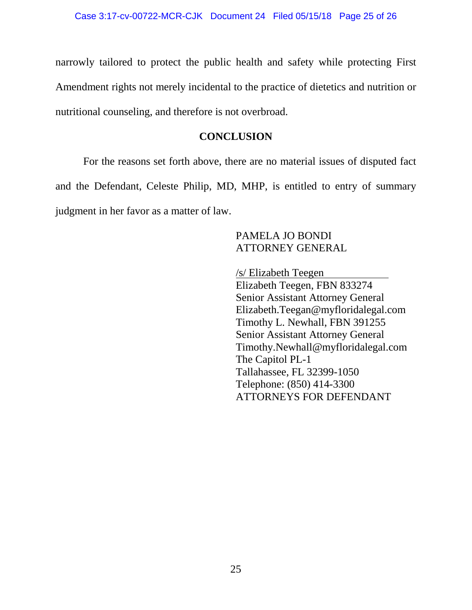narrowly tailored to protect the public health and safety while protecting First Amendment rights not merely incidental to the practice of dietetics and nutrition or nutritional counseling, and therefore is not overbroad.

### **CONCLUSION**

For the reasons set forth above, there are no material issues of disputed fact and the Defendant, Celeste Philip, MD, MHP, is entitled to entry of summary judgment in her favor as a matter of law.

## PAMELA JO BONDI ATTORNEY GENERAL

/s/ Elizabeth Teegen

Elizabeth Teegen, FBN 833274 Senior Assistant Attorney General Elizabeth.Teegan@myfloridalegal.com Timothy L. Newhall, FBN 391255 Senior Assistant Attorney General Timothy.Newhall@myfloridalegal.com The Capitol PL-1 Tallahassee, FL 32399-1050 Telephone: (850) 414-3300 ATTORNEYS FOR DEFENDANT